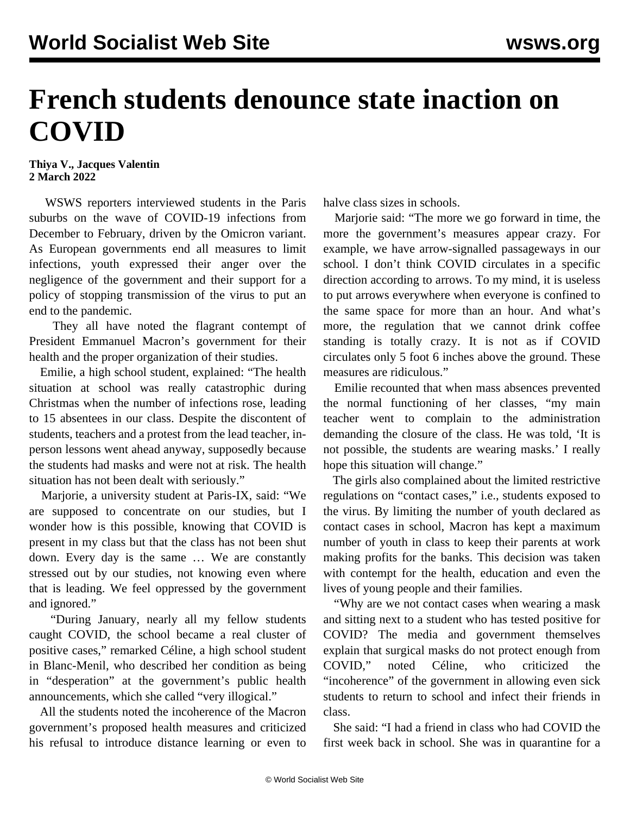## **French students denounce state inaction on COVID**

## **Thiya V., Jacques Valentin 2 March 2022**

 WSWS reporters interviewed students in the Paris suburbs on the wave of COVID-19 infections from December to February, driven by the Omicron variant. As European governments end all measures to limit infections, youth expressed their anger over the negligence of the government and their support for a policy of stopping transmission of the virus to put an end to the pandemic.

 They all have noted the flagrant contempt of President Emmanuel Macron's government for their health and the proper organization of their studies.

 Emilie, a high school student, explained: "The health situation at school was really catastrophic during Christmas when the number of infections rose, leading to 15 absentees in our class. Despite the discontent of students, teachers and a protest from the lead teacher, inperson lessons went ahead anyway, supposedly because the students had masks and were not at risk. The health situation has not been dealt with seriously."

 Marjorie, a university student at Paris-IX, said: "We are supposed to concentrate on our studies, but I wonder how is this possible, knowing that COVID is present in my class but that the class has not been shut down. Every day is the same … We are constantly stressed out by our studies, not knowing even where that is leading. We feel oppressed by the government and ignored."

 "During January, nearly all my fellow students caught COVID, the school became a real cluster of positive cases," remarked Céline, a high school student in Blanc-Menil, who described her condition as being in "desperation" at the government's public health announcements, which she called "very illogical."

 All the students noted the incoherence of the Macron government's proposed health measures and criticized his refusal to introduce distance learning or even to halve class sizes in schools.

 Marjorie said: "The more we go forward in time, the more the government's measures appear crazy. For example, we have arrow-signalled passageways in our school. I don't think COVID circulates in a specific direction according to arrows. To my mind, it is useless to put arrows everywhere when everyone is confined to the same space for more than an hour. And what's more, the regulation that we cannot drink coffee standing is totally crazy. It is not as if COVID circulates only 5 foot 6 inches above the ground. These measures are ridiculous."

 Emilie recounted that when mass absences prevented the normal functioning of her classes, "my main teacher went to complain to the administration demanding the closure of the class. He was told, 'It is not possible, the students are wearing masks.' I really hope this situation will change."

 The girls also complained about the limited restrictive regulations on "contact cases," i.e., students exposed to the virus. By limiting the number of youth declared as contact cases in school, Macron has kept a maximum number of youth in class to keep their parents at work making profits for the banks. This decision was taken with contempt for the health, education and even the lives of young people and their families.

 "Why are we not contact cases when wearing a mask and sitting next to a student who has tested positive for COVID? The media and government themselves explain that surgical masks do not protect enough from COVID," noted Céline, who criticized "incoherence" of the government in allowing even sick students to return to school and infect their friends in class.

 She said: "I had a friend in class who had COVID the first week back in school. She was in quarantine for a